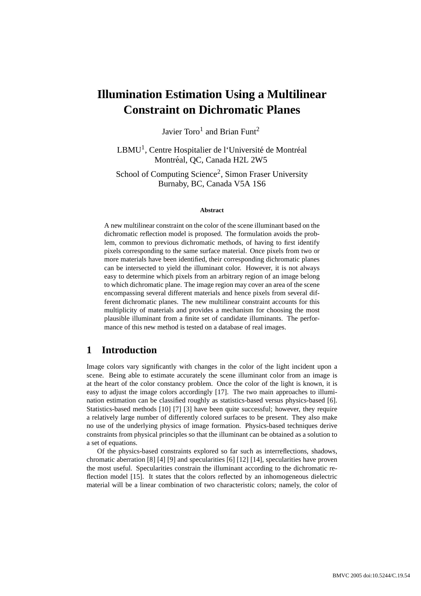# **Illumination Estimation Using a Multilinear Constraint on Dichromatic Planes**

Javier Toro<sup>1</sup> and Brian Funt<sup>2</sup>

LBMU<sup>1</sup>, Centre Hospitalier de l'Université de Montréal Montréal, OC, Canada H2L 2W5

School of Computing Science<sup>2</sup>, Simon Fraser University Burnaby, BC, Canada V5A 1S6

#### **Abstract**

A new multilinear constraint on the color of the scene illuminant based on the dichromatic reflection model is proposed. The formulation avoids the problem, common to previous dichromatic methods, of having to first identify pixels corresponding to the same surface material. Once pixels from two or more materials have been identified, their corresponding dichromatic planes can be intersected to yield the illuminant color. However, it is not always easy to determine which pixels from an arbitrary region of an image belong to which dichromatic plane. The image region may cover an area of the scene encompassing several different materials and hence pixels from several different dichromatic planes. The new multilinear constraint accounts for this multiplicity of materials and provides a mechanism for choosing the most plausible illuminant from a finite set of candidate illuminants. The performance of this new method is tested on a database of real images.

# **1 Introduction**

Image colors vary significantly with changes in the color of the light incident upon a scene. Being able to estimate accurately the scene illuminant color from an image is at the heart of the color constancy problem. Once the color of the light is known, it is easy to adjust the image colors accordingly [17]. The two main approaches to illumination estimation can be classified roughly as statistics-based versus physics-based [6]. Statistics-based methods [10] [7] [3] have been quite successful; however, they require a relatively large number of differently colored surfaces to be present. They also make no use of the underlying physics of image formation. Physics-based techniques derive constraints from physical principles so that the illuminant can be obtained as a solution to a set of equations.

Of the physics-based constraints explored so far such as interreflections, shadows, chromatic aberration [8] [4] [9] and specularities [6] [12] [14], specularities have proven the most useful. Specularities constrain the illuminant according to the dichromatic reflection model [15]. It states that the colors reflected by an inhomogeneous dielectric material will be a linear combination of two characteristic colors; namely, the color of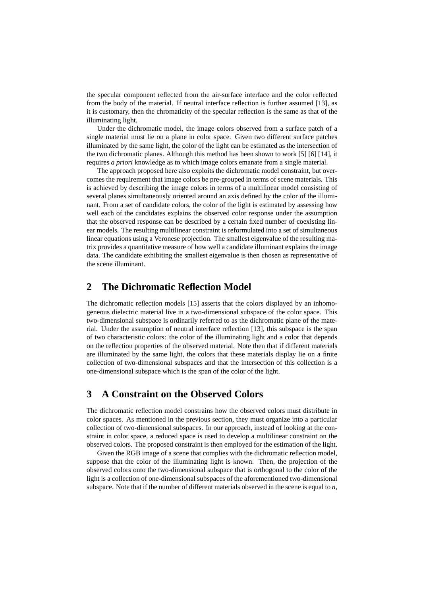the specular component reflected from the air-surface interface and the color reflected from the body of the material. If neutral interface reflection is further assumed [13], as it is customary, then the chromaticity of the specular reflection is the same as that of the illuminating light.

Under the dichromatic model, the image colors observed from a surface patch of a single material must lie on a plane in color space. Given two different surface patches illuminated by the same light, the color of the light can be estimated as the intersection of the two dichromatic planes. Although this method has been shown to work [5] [6] [14], it requires *a priori* knowledge as to which image colors emanate from a single material.

The approach proposed here also exploits the dichromatic model constraint, but overcomes the requirement that image colors be pre-grouped in terms of scene materials. This is achieved by describing the image colors in terms of a multilinear model consisting of several planes simultaneously oriented around an axis defined by the color of the illuminant. From a set of candidate colors, the color of the light is estimated by assessing how well each of the candidates explains the observed color response under the assumption that the observed response can be described by a certain fixed number of coexisting linear models. The resulting multilinear constraint is reformulated into a set of simultaneous linear equations using a Veronese projection. The smallest eigenvalue of the resulting matrix provides a quantitative measure of how well a candidate illuminant explains the image data. The candidate exhibiting the smallest eigenvalue is then chosen as representative of the scene illuminant.

#### **2 The Dichromatic Reflection Model**

The dichromatic reflection models [15] asserts that the colors displayed by an inhomogeneous dielectric material live in a two-dimensional subspace of the color space. This two-dimensional subspace is ordinarily referred to as the dichromatic plane of the material. Under the assumption of neutral interface reflection [13], this subspace is the span of two characteristic colors: the color of the illuminating light and a color that depends on the reflection properties of the observed material. Note then that if different materials are illuminated by the same light, the colors that these materials display lie on a finite collection of two-dimensional subspaces and that the intersection of this collection is a one-dimensional subspace which is the span of the color of the light.

# **3 A Constraint on the Observed Colors**

The dichromatic reflection model constrains how the observed colors must distribute in color spaces. As mentioned in the previous section, they must organize into a particular collection of two-dimensional subspaces. In our approach, instead of looking at the constraint in color space, a reduced space is used to develop a multilinear constraint on the observed colors. The proposed constraint is then employed for the estimation of the light.

Given the RGB image of a scene that complies with the dichromatic reflection model, suppose that the color of the illuminating light is known. Then, the projection of the observed colors onto the two-dimensional subspace that is orthogonal to the color of the light is a collection of one-dimensional subspaces of the aforementioned two-dimensional subspace. Note that if the number of different materials observed in the scene is equal to *n*,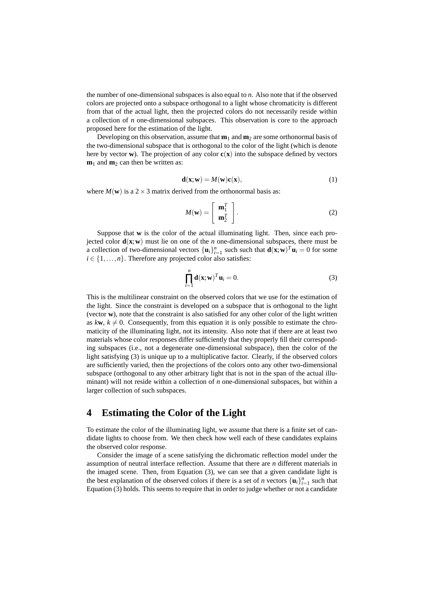the number of one-dimensional subspaces is also equal to *n*. Also note that if the observed colors are projected onto a subspace orthogonal to a light whose chromaticity is different from that of the actual light, then the projected colors do not necessarily reside within a collection of *n* one-dimensional subspaces. This observation is core to the approach proposed here for the estimation of the light.

Developing on this observation, assume that  $\mathbf{m}_1$  and  $\mathbf{m}_2$  are some orthonormal basis of the two-dimensional subspace that is orthogonal to the color of the light (which is denote here by vector **w**). The projection of any color  $c(\mathbf{x})$  into the subspace defined by vectors  $m_1$  and  $m_2$  can then be written as:

$$
\mathbf{d}(\mathbf{x}; \mathbf{w}) = M(\mathbf{w})\mathbf{c}(\mathbf{x}),\tag{1}
$$

where  $M(\mathbf{w})$  is a 2  $\times$  3 matrix derived from the orthonormal basis as:

$$
M(\mathbf{w}) = \left[ \begin{array}{c} \mathbf{m}_1^T \\ \mathbf{m}_2^T \end{array} \right].
$$
 (2)

Suppose that **w** is the color of the actual illuminating light. Then, since each projected color  $\mathbf{d}(\mathbf{x}; \mathbf{w})$  must lie on one of the *n* one-dimensional subspaces, there must be a collection of two-dimensional vectors  $\{\mathbf{u}_i\}_{i=1}^n$  such such that  $\mathbf{d}(\mathbf{x}; \mathbf{w})^T \mathbf{u}_i = 0$  for some  $i \in \{1, \ldots, n\}$ . Therefore any projected color also satisfies:

$$
\prod_{i=1}^{n} \mathbf{d}(\mathbf{x}; \mathbf{w})^T \mathbf{u}_i = 0.
$$
 (3)

This is the multilinear constraint on the observed colors that we use for the estimation of the light. Since the constraint is developed on a subspace that is orthogonal to the light (vector **w**), note that the constraint is also satisfied for any other color of the light written as  $k**w**$ ,  $k \neq 0$ . Consequently, from this equation it is only possible to estimate the chromaticity of the illuminating light, not its intensity. Also note that if there are at least two materials whose color responses differ sufficiently that they properly fill their corresponding subspaces (i.e., not a degenerate one-dimensional subspace), then the color of the light satisfying (3) is unique up to a multiplicative factor. Clearly, if the observed colors are sufficiently varied, then the projections of the colors onto any other two-dimensional subspace (orthogonal to any other arbitrary light that is not in the span of the actual illuminant) will not reside within a collection of *n* one-dimensional subspaces, but within a larger collection of such subspaces.

#### **4 Estimating the Color of the Light**

To estimate the color of the illuminating light, we assume that there is a finite set of candidate lights to choose from. We then check how well each of these candidates explains the observed color response.

Consider the image of a scene satisfying the dichromatic reflection model under the assumption of neutral interface reflection. Assume that there are *n* different materials in the imaged scene. Then, from Equation (3), we can see that a given candidate light is the best explanation of the observed colors if there is a set of *n* vectors  $\{\mathbf{u}_i\}_{i=1}^n$  such that Equation (3) holds. This seems to require that in order to judge whether or not a candidate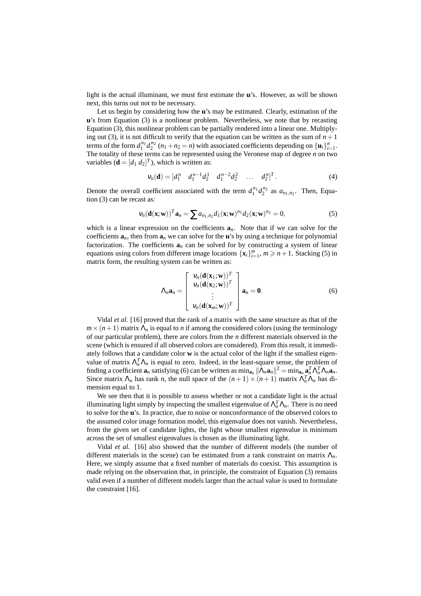light is the actual illuminant, we must first estimate the **u**'s. However, as will be shown next, this turns out not to be necessary.

Let us begin by considering how the **u**'s may be estimated. Clearly, estimation of the **u**'s from Equation (3) is a nonlinear problem. Nevertheless, we note that by recasting Equation (3), this nonlinear problem can be partially rendered into a linear one. Multiplying out (3), it is not difficult to verify that the equation can be written as the sum of  $n+1$ terms of the form  $d_1^{n_1} d_2^{n_2}$   $(n_1 + n_2 = n)$  with associated coefficients depending on  $\{\mathbf{u}_i\}_{i=1}^n$ . The totality of these terms can be represented using the Veronese map of degree *n* on two variables  $(\mathbf{d} = [d_1 \ d_2]^T)$ , which is written as:

$$
\mathbf{v}_n(\mathbf{d}) = [d_1^n \quad d_1^{n-1} d_2^1 \quad d_1^{n-2} d_2^2 \quad \dots \quad d_2^n]^T. \tag{4}
$$

Denote the overall coefficient associated with the term  $d_1^{n_1} d_2^{n_2}$  as  $a_{n_1,n_2}$ . Then, Equation (3) can be recast as:

$$
v_n(\mathbf{d}(\mathbf{x}; \mathbf{w}))^T \mathbf{a}_n = \sum a_{n_1, n_2} d_1(\mathbf{x}; \mathbf{w})^{n_1} d_2(\mathbf{x}; \mathbf{w})^{n_2} = 0,
$$
\n(5)

which is a linear expression on the coefficients  $a_n$ . Note that if we can solve for the coefficients  $a_n$ , then from  $a_n$  we can solve for the **u**'s by using a technique for polynomial factorization. The coefficients  $\mathbf{a}_n$  can be solved for by constructing a system of linear equations using colors from different image locations  $\{x_i\}_{i=1}^m$ ,  $m \ge n+1$ . Stacking (5) in matrix form, the resulting system can be written as:

$$
\Lambda_n \mathbf{a}_n = \begin{bmatrix} v_n(\mathbf{d}(\mathbf{x}_1; \mathbf{w}))^T \\ v_n(\mathbf{d}(\mathbf{x}_2; \mathbf{w}))^T \\ \vdots \\ v_n(\mathbf{d}(\mathbf{x}_m; \mathbf{w}))^T \end{bmatrix} \mathbf{a}_n = \mathbf{0}.
$$
 (6)

Vidal *et al.* [16] proved that the rank of a matrix with the same structure as that of the  $m \times (n+1)$  matrix  $\Lambda_n$  is equal to *n* if among the considered colors (using the terminology of our particular problem), there are colors from the *n* different materials observed in the scene (which is ensured if all observed colors are considered). From this result, it immediately follows that a candidate color **w** is the actual color of the light if the smallest eigenvalue of matrix  $\Lambda_n^T \Lambda_n$  is equal to zero. Indeed, in the least-square sense, the problem of finding a coefficient  $\mathbf{a}_n$  satisfying (6) can be written as  $\min_{\mathbf{a}_n} ||\Lambda_n \mathbf{a}_n||^2 = \min_{\mathbf{a}_n} \mathbf{a}_n^T \Lambda_n^T \Lambda_n \mathbf{a}_n$ . Since matrix  $\Lambda_n$  has rank *n*, the null space of the  $(n+1) \times (n+1)$  matrix  $\Lambda_n^T \Lambda_n$  has dimension equal to 1.

We see then that it is possible to assess whether or not a candidate light is the actual illuminating light simply by inspecting the smallest eigenvalue of  $\Lambda_n^T \Lambda_n$ . There is no need to solve for the **u**'s. In practice, due to noise or nonconformance of the observed colors to the assumed color image formation model, this eigenvalue does not vanish. Nevertheless, from the given set of candidate lights, the light whose smallest eigenvalue is minimum across the set of smallest eigenvalues is chosen as the illuminating light.

Vidal *et al.* [16] also showed that the number of different models (the number of different materials in the scene) can be estimated from a rank constraint on matrix Λ*n*. Here, we simply assume that a fixed number of materials do coexist. This assumption is made relying on the observation that, in principle, the constraint of Equation (3) remains valid even if a number of different models larger than the actual value is used to formulate the constraint [16].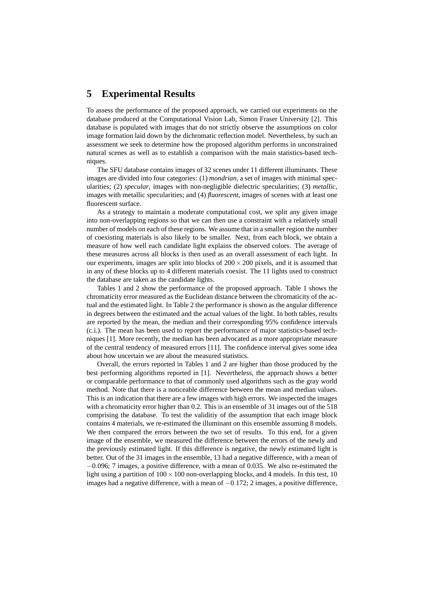#### **5 Experimental Results**

To assess the performance of the proposed approach, we carried out experiments on the database produced at the Computational Vision Lab, Simon Fraser University [2]. This database is populated with images that do not strictly observe the assumptions on color image formation laid down by the dichromatic reflection model. Nevertheless, by such an assessment we seek to determine how the proposed algorithm performs in unconstrained natural scenes as well as to establish a comparison with the main statistics-based techniques.

The SFU database contains images of 32 scenes under 11 different illuminants. These images are divided into four categories: (1) *mondrian*, a set of images with minimal specularities; (2) *specular*, images with non-negligible dielectric specularities; (3) *metallic*, images with metallic specularities; and (4) *fluorescent*, images of scenes with at least one fluorescent surface.

As a strategy to maintain a moderate computational cost, we split any given image into non-overlapping regions so that we can then use a constraint with a relatively small number of models on each of these regions. We assume that in a smaller region the number of coexisting materials is also likely to be smaller. Next, from each block, we obtain a measure of how well each candidate light explains the observed colors. The average of these measures across all blocks is then used as an overall assessment of each light. In our experiments, images are split into blocks of  $200 \times 200$  pixels, and it is assumed that in any of these blocks up to 4 different materials coexist. The 11 lights used to construct the database are taken as the candidate lights.

Tables 1 and 2 show the performance of the proposed approach. Table 1 shows the chromaticity error measured as the Euclidean distance between the chromaticity of the actual and the estimated light. In Table 2 the performance is shown as the angular difference in degrees between the estimated and the actual values of the light. In both tables, results are reported by the mean, the median and their corresponding 95% confidence intervals (c.i.). The mean has been used to report the performance of major statistics-based techniques [1]. More recently, the median has been advocated as a more appropriate measure of the central tendency of measured errors [11]. The confidence interval gives some idea about how uncertain we are about the measured statistics.

Overall, the errors reported in Tables 1 and 2 are higher than those produced by the best performing algorithms reported in [1]. Nevertheless, the approach shows a better or comparable performance to that of commonly used algorithms such as the gray world method. Note that there is a noticeable difference between the mean and median values. This is an indication that there are a few images with high errors. We inspected the images with a chromaticity error higher than 0.2. This is an ensemble of 31 images out of the 518 comprising the database. To test the validitiy of the assumption that each image block contains 4 materials, we re-estimated the illuminant on this ensemble assuming 8 models. We then compared the errors between the two set of results. To this end, for a given image of the ensemble, we measured the difference between the errors of the newly and the previously estimated light. If this difference is negative, the newly estimated light is better. Out of the 31 images in the ensemble, 13 had a negative difference, with a mean of −0.096; 7 images, a positive difference, with a mean of 0.035. We also re-estimated the light using a partition of  $100 \times 100$  non-overlapping blocks, and 4 models. In this test, 10 images had a negative difference, with a mean of  $-0.172$ ; 2 images, a positive difference,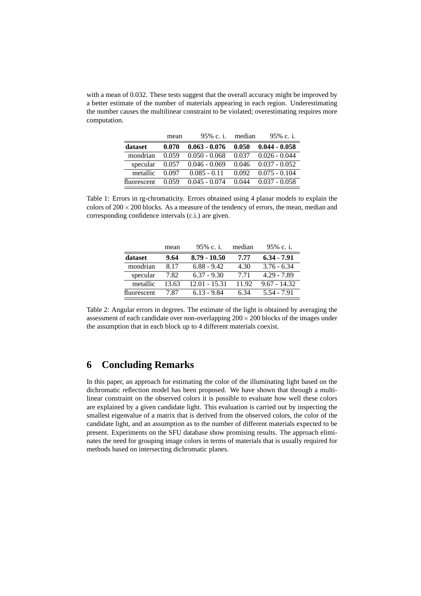with a mean of 0.032. These tests suggest that the overall accuracy might be improved by a better estimate of the number of materials appearing in each region. Underestimating the number causes the multilinear constraint to be violated; overestimating requires more computation.

|             | mean  | 95% c. i.       | median | 95% c. i.       |
|-------------|-------|-----------------|--------|-----------------|
| dataset     | 0.070 | $0.063 - 0.076$ | 0.050  | $0.044 - 0.058$ |
| mondrian    | 0.059 | $0.050 - 0.068$ | 0.037  | $0.026 - 0.044$ |
| specular    | 0.057 | $0.046 - 0.069$ | 0.046  | $0.037 - 0.052$ |
| metallic    | 0.097 | $0.085 - 0.11$  | 0.092  | $0.075 - 0.104$ |
| fluorescent | 0.059 | $0.045 - 0.074$ | 0.044  | $0.037 - 0.058$ |

Table 1: Errors in rg-chromaticity. Errors obtained using 4 planar models to explain the colors of  $200 \times 200$  blocks. As a measure of the tendency of errors, the mean, median and corresponding confidence intervals (c.i.) are given.

|             | mean  | 95% c. i.      | median | 95% c. i.      |
|-------------|-------|----------------|--------|----------------|
| dataset     | 9.64  | $8.79 - 10.50$ | 7.77   | $6.34 - 7.91$  |
| mondrian    | 8.17  | $6.88 - 9.42$  | 4.30   | $3.76 - 6.34$  |
| specular    | 7.82  | $6.37 - 9.30$  | 7 7 1  | $4.29 - 7.89$  |
| metallic    | 13.63 | 12.01 - 15.31  | 11.92  | $9.67 - 14.32$ |
| fluorescent | 787   | $6.13 - 9.84$  | 634    | $5.54 - 7.91$  |

Table 2: Angular errors in degrees. The estimate of the light is obtained by averaging the assessment of each candidate over non-overlapping  $200 \times 200$  blocks of the images under the assumption that in each block up to 4 different materials coexist.

# **6 Concluding Remarks**

In this paper, an approach for estimating the color of the illuminating light based on the dichromatic reflection model has been proposed. We have shown that through a multilinear constraint on the observed colors it is possible to evaluate how well these colors are explained by a given candidate light. This evaluation is carried out by inspecting the smallest eigenvalue of a matrix that is derived from the observed colors, the color of the candidate light, and an assumption as to the number of different materials expected to be present. Experiments on the SFU database show promising results. The approach eliminates the need for grouping image colors in terms of materials that is usually required for methods based on intersecting dichromatic planes.